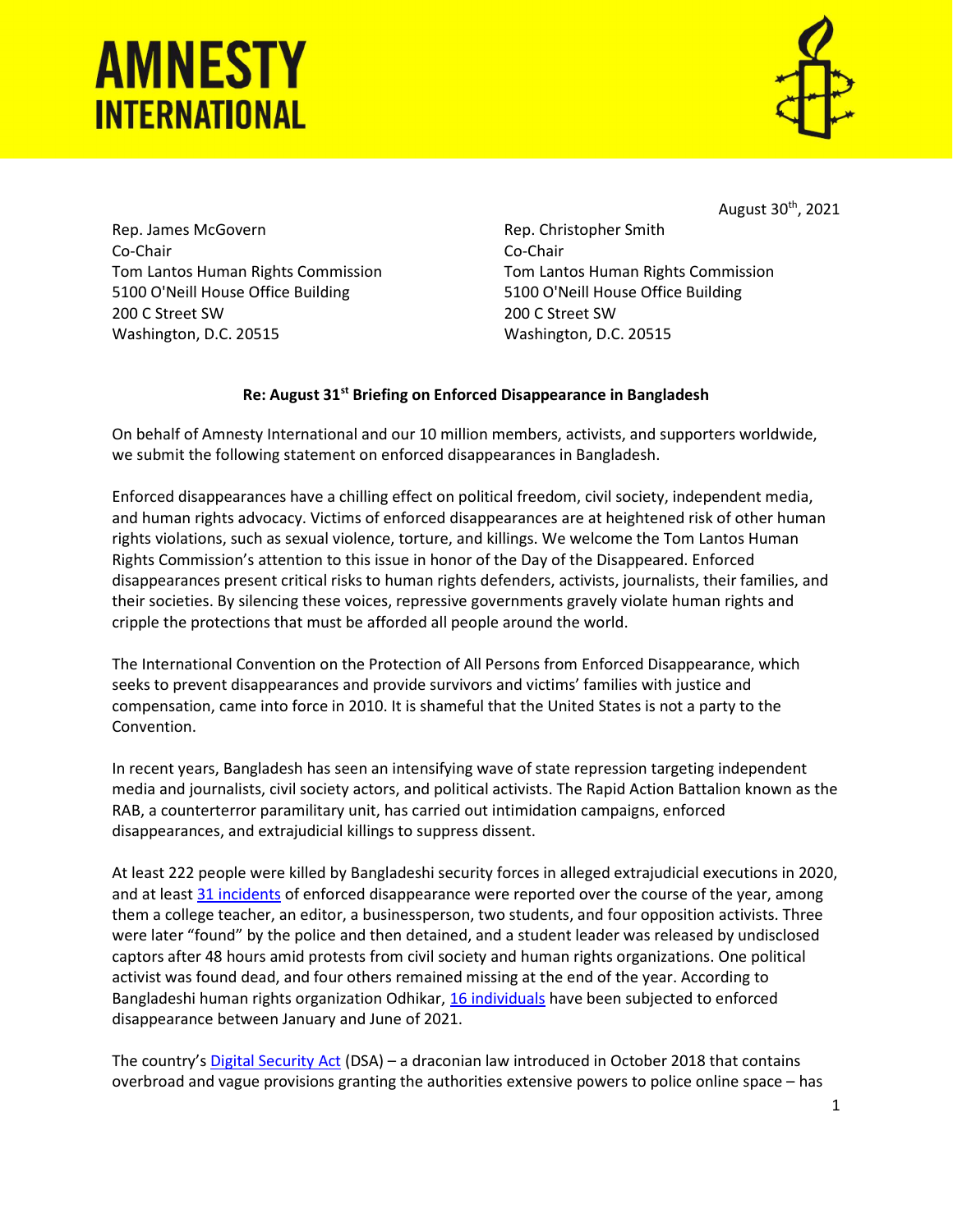## **AMNESTY INTERNATIONAL**



August 30<sup>th</sup>, 2021

Rep. James McGovern Co-Chair Tom Lantos Human Rights Commission 5100 O'Neill House Office Building 200 C Street SW Washington, D.C. 20515

Rep. Christopher Smith Co-Chair Tom Lantos Human Rights Commission 5100 O'Neill House Office Building 200 C Street SW Washington, D.C. 20515

## Re: August 31st Briefing on Enforced Disappearance in Bangladesh

On behalf of Amnesty International and our 10 million members, activists, and supporters worldwide, we submit the following statement on enforced disappearances in Bangladesh.

Enforced disappearances have a chilling effect on political freedom, civil society, independent media, and human rights advocacy. Victims of enforced disappearances are at heightened risk of other human rights violations, such as sexual violence, torture, and killings. We welcome the Tom Lantos Human Rights Commission's attention to this issue in honor of the Day of the Disappeared. Enforced disappearances present critical risks to human rights defenders, activists, journalists, their families, and their societies. By silencing these voices, repressive governments gravely violate human rights and cripple the protections that must be afforded all people around the world.

The International Convention on the Protection of All Persons from Enforced Disappearance, which seeks to prevent disappearances and provide survivors and victims' families with justice and compensation, came into force in 2010. It is shameful that the United States is not a party to the Convention.

In recent years, Bangladesh has seen an intensifying wave of state repression targeting independent media and journalists, civil society actors, and political activists. The Rapid Action Battalion known as the RAB, a counterterror paramilitary unit, has carried out intimidation campaigns, enforced disappearances, and extrajudicial killings to suppress dissent.

At least 222 people were killed by Bangladeshi security forces in alleged extrajudicial executions in 2020, and at least 31 incidents of enforced disappearance were reported over the course of the year, among them a college teacher, an editor, a businessperson, two students, and four opposition activists. Three were later "found" by the police and then detained, and a student leader was released by undisclosed captors after 48 hours amid protests from civil society and human rights organizations. One political activist was found dead, and four others remained missing at the end of the year. According to Bangladeshi human rights organization Odhikar, 16 individuals have been subjected to enforced disappearance between January and June of 2021.

The country's Digital Security Act (DSA) – a draconian law introduced in October 2018 that contains overbroad and vague provisions granting the authorities extensive powers to police online space – has